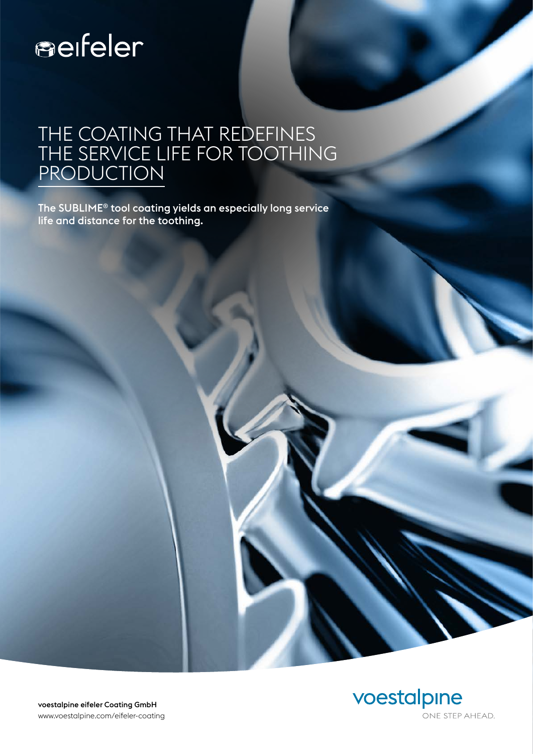# serfeler

#### THE COATING THAT REDEFINES THE SERVICE LIFE FOR TOOTHING PRODUCTION

The SUBLIME® tool coating yields an especially long service life and distance for the toothing.



voestalpine eifeler Coating GmbH www.voestalpine.com/eifeler-coating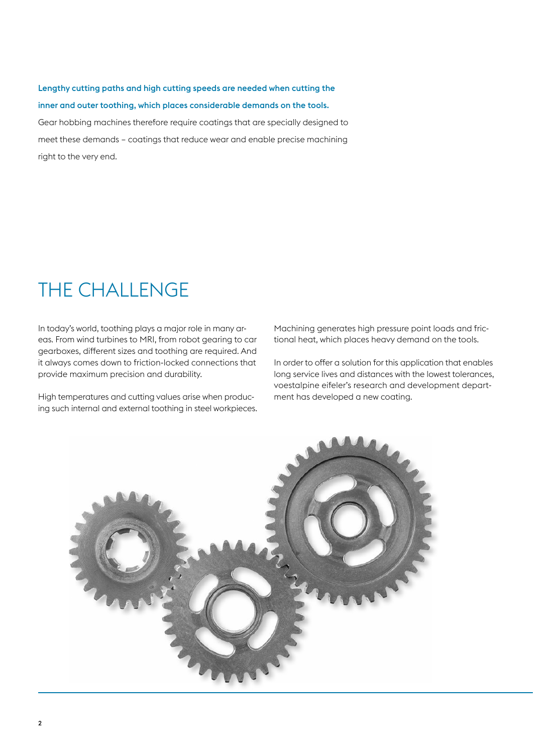#### Lengthy cutting paths and high cutting speeds are needed when cutting the inner and outer toothing, which places considerable demands on the tools.

Gear hobbing machines therefore require coatings that are specially designed to meet these demands – coatings that reduce wear and enable precise machining right to the very end.

#### THE CHALLENGE

In today's world, toothing plays a major role in many areas. From wind turbines to MRI, from robot gearing to car gearboxes, different sizes and toothing are required. And it always comes down to friction-locked connections that provide maximum precision and durability.

High temperatures and cutting values arise when producing such internal and external toothing in steel workpieces. Machining generates high pressure point loads and frictional heat, which places heavy demand on the tools.

In order to offer a solution for this application that enables long service lives and distances with the lowest tolerances, voestalpine eifeler's research and development department has developed a new coating.

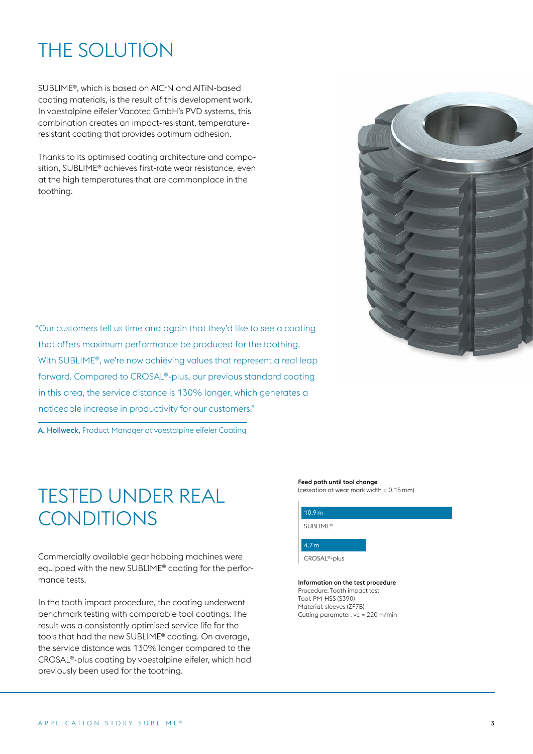## THE SOLUTION

SUBLIME®, which is based on AlCrN and AlTiN-based coating materials, is the result of this development work. In voestalpine eifeler Vacotec GmbH's PVD systems, this combination creates an impact-resistant, temperatureresistant coating that provides optimum adhesion.

Thanks to its optimised coating architecture and composition, SUBLIME® achieves first-rate wear resistance, even at the high temperatures that are commonplace in the toothing.

"Our customers tell us time and again that they'd like to see a coating that offers maximum performance be produced for the toothing. With SUBLIME<sup>®</sup>, we're now achieving values that represent a real leap forward. Compared to CROSAL®-plus, our previous standard coating in this area, the service distance is 130% longer, which generates a noticeable increase in productivity for our customers."

A. Hollweck, Product Manager at voestalpine eifeler Coating

### TESTED UNDER REAL **CONDITIONS**

Commercially available gear hobbing machines were equipped with the new SUBLIME® coating for the performance tests.

In the tooth impact procedure, the coating underwent benchmark testing with comparable tool coatings. The result was a consistently optimised service life for the tools that had the new SUBLIME® coating. On average, the service distance was 130% longer compared to the CROSAL®-plus coating by voestalpine eifeler, which had previously been used for the toothing.



#### Feed path until tool change

(cessation at wear mark width = 0.15mm)

| 10.9 <sub>m</sub>         |  |
|---------------------------|--|
| SUBLIME <sup>®</sup>      |  |
| 4.7 <sub>m</sub>          |  |
| CROSAL <sup>®</sup> -plus |  |

Information on the test procedure Procedure: Tooth impact test Tool: PM-HSS (S390) Material: sleeves (ZF7B) Cutting parameter: vc = 220m/min